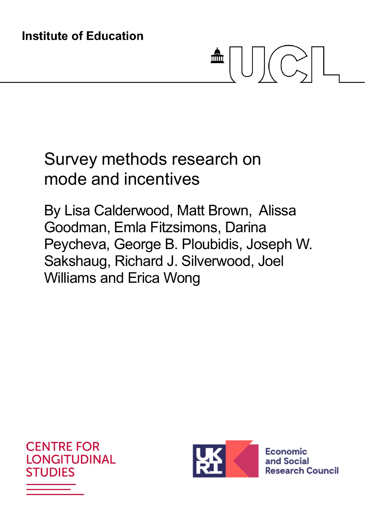# <u>min</u>  $\left| \right| \left| \right| \left| \right| \left| \right|$

# Survey methods research on mode and incentives

By Lisa Calderwood, Matt Brown, Alissa Goodman, Emla Fitzsimons, Darina Peycheva, George B. Ploubidis, Joseph W. Sakshaug, Richard J. Silverwood, Joel Williams and Erica Wong





Economic and Social **Research Council**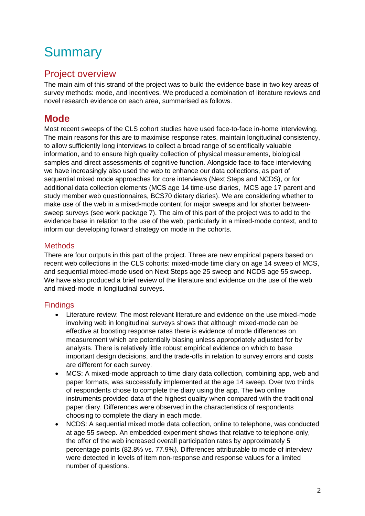# **Summary**

## Project overview

The main aim of this strand of the project was to build the evidence base in two key areas of survey methods: mode, and incentives. We produced a combination of literature reviews and novel research evidence on each area, summarised as follows.

# **Mode**

Most recent sweeps of the CLS cohort studies have used face-to-face in-home interviewing. The main reasons for this are to maximise response rates, maintain longitudinal consistency, to allow sufficiently long interviews to collect a broad range of scientifically valuable information, and to ensure high quality collection of physical measurements, biological samples and direct assessments of cognitive function. Alongside face-to-face interviewing we have increasingly also used the web to enhance our data collections, as part of sequential mixed mode approaches for core interviews (Next Steps and NCDS), or for additional data collection elements (MCS age 14 time-use diaries, MCS age 17 parent and study member web questionnaires, BCS70 dietary diaries). We are considering whether to make use of the web in a mixed-mode content for major sweeps and for shorter betweensweep surveys (see work package 7). The aim of this part of the project was to add to the evidence base in relation to the use of the web, particularly in a mixed-mode context, and to inform our developing forward strategy on mode in the cohorts.

#### **Methods**

There are four outputs in this part of the project. Three are new empirical papers based on recent web collections in the CLS cohorts: mixed-mode time diary on age 14 sweep of MCS, and sequential mixed-mode used on Next Steps age 25 sweep and NCDS age 55 sweep. We have also produced a brief review of the literature and evidence on the use of the web and mixed-mode in longitudinal surveys.

#### **Findings**

- Literature review: The most relevant literature and evidence on the use mixed-mode involving web in longitudinal surveys shows that although mixed-mode can be effective at boosting response rates there is evidence of mode differences on measurement which are potentially biasing unless appropriately adjusted for by analysts. There is relatively little robust empirical evidence on which to base important design decisions, and the trade-offs in relation to survey errors and costs are different for each survey.
- MCS: A mixed-mode approach to time diary data collection, combining app, web and paper formats, was successfully implemented at the age 14 sweep. Over two thirds of respondents chose to complete the diary using the app. The two online instruments provided data of the highest quality when compared with the traditional paper diary. Differences were observed in the characteristics of respondents choosing to complete the diary in each mode.
- NCDS: A sequential mixed mode data collection, online to telephone, was conducted at age 55 sweep. An embedded experiment shows that relative to telephone-only, the offer of the web increased overall participation rates by approximately 5 percentage points (82.8% vs. 77.9%). Differences attributable to mode of interview were detected in levels of item non-response and response values for a limited number of questions.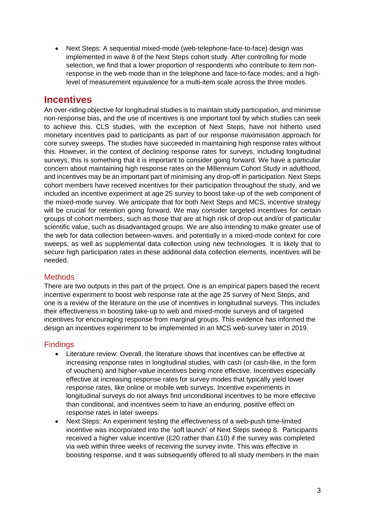Next Steps: A sequential mixed-mode (web-telephone-face-to-face) design was implemented in wave 8 of the Next Steps cohort study. After controlling for mode selection, we find that a lower proportion of respondents who contribute to item nonresponse in the web mode than in the telephone and face-to-face modes; and a highlevel of measurement equivalence for a multi-item scale across the three modes.

### **Incentives**

An over-riding objective for longitudinal studies is to maintain study participation, and minimise non-response bias, and the use of incentives is one important tool by which studies can seek to achieve this. CLS studies, with the exception of Next Steps, have not hitherto used monetary incentives paid to participants as part of our response maximisation approach for core survey sweeps. The studies have succeeded in maintaining high response rates without this. However, in the context of declining response rates for surveys, including longitudinal surveys, this is something that it is important to consider going forward. We have a particular concern about maintaining high response rates on the Millennium Cohort Study in adulthood, and incentives may be an important part of minimising any drop-off in participation. Next Steps cohort members have received incentives for their participation throughout the study, and we included an incentive experiment at age 25 survey to boost take-up of the web component of the mixed-mode survey. We anticipate that for both Next Steps and MCS, incentive strategy will be crucial for retention going forward. We may consider targeted incentives for certain groups of cohort members, such as those that are at high risk of drop-out and/or of particular scientific value, such as disadvantaged groups. We are also intending to make greater use of the web for data collection between-waves, and potentially in a mixed-mode context for core sweeps, as well as supplemental data collection using new technologies. It is likely that to secure high participation rates in these additional data collection elements, incentives will be needed.

#### **Methods**

There are two outputs in this part of the project. One is an empirical papers based the recent incentive experiment to boost web response rate at the age 25 survey of Next Steps, and one is a review of the literature on the use of incentives in longitudinal surveys. This includes their effectiveness in boosting take-up to web and mixed-mode surveys and of targeted incentives for encouraging response from marginal groups. This evidence has informed the design an incentives experiment to be implemented in an MCS web-survey later in 2019.

#### **Findings**

- Literature review: Overall, the literature shows that incentives can be effective at increasing response rates in longitudinal studies, with cash (or cash-like, in the form of vouchers) and higher-value incentives being more effective. Incentives especially effective at increasing response rates for survey modes that typically yield lower response rates, like online or mobile web surveys. Incentive experiments in longitudinal surveys do not always find unconditional incentives to be more effective than conditional, and incentives seem to have an enduring, positive effect on response rates in later sweeps.
- Next Steps: An experiment testing the effectiveness of a web-push time-limited incentive was incorporated into the 'soft launch' of Next Steps sweep 8. Participants received a higher value incentive  $(E20 \text{ rather than } £10)$  if the survey was completed via web within three weeks of receiving the survey invite. This was effective in boosting response, and it was subsequently offered to all study members in the main